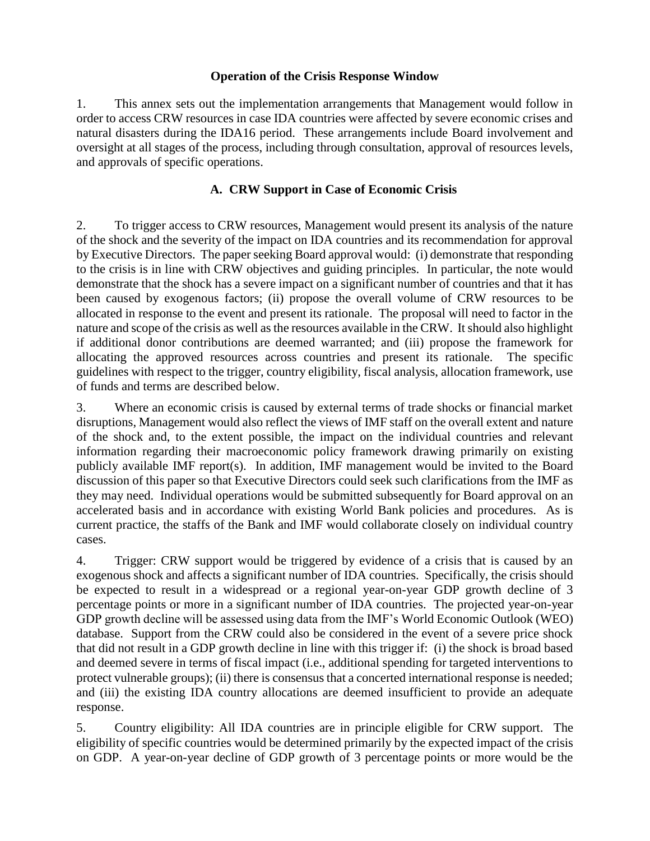## **Operation of the Crisis Response Window**

1. This annex sets out the implementation arrangements that Management would follow in order to access CRW resources in case IDA countries were affected by severe economic crises and natural disasters during the IDA16 period. These arrangements include Board involvement and oversight at all stages of the process, including through consultation, approval of resources levels, and approvals of specific operations.

## **A. CRW Support in Case of Economic Crisis**

2. To trigger access to CRW resources, Management would present its analysis of the nature of the shock and the severity of the impact on IDA countries and its recommendation for approval by Executive Directors. The paper seeking Board approval would: (i) demonstrate that responding to the crisis is in line with CRW objectives and guiding principles. In particular, the note would demonstrate that the shock has a severe impact on a significant number of countries and that it has been caused by exogenous factors; (ii) propose the overall volume of CRW resources to be allocated in response to the event and present its rationale. The proposal will need to factor in the nature and scope of the crisis as well as the resources available in the CRW. It should also highlight if additional donor contributions are deemed warranted; and (iii) propose the framework for allocating the approved resources across countries and present its rationale. The specific guidelines with respect to the trigger, country eligibility, fiscal analysis, allocation framework, use of funds and terms are described below.

3. Where an economic crisis is caused by external terms of trade shocks or financial market disruptions, Management would also reflect the views of IMF staff on the overall extent and nature of the shock and, to the extent possible, the impact on the individual countries and relevant information regarding their macroeconomic policy framework drawing primarily on existing publicly available IMF report(s). In addition, IMF management would be invited to the Board discussion of this paper so that Executive Directors could seek such clarifications from the IMF as they may need. Individual operations would be submitted subsequently for Board approval on an accelerated basis and in accordance with existing World Bank policies and procedures. As is current practice, the staffs of the Bank and IMF would collaborate closely on individual country cases.

4. Trigger: CRW support would be triggered by evidence of a crisis that is caused by an exogenous shock and affects a significant number of IDA countries. Specifically, the crisis should be expected to result in a widespread or a regional year-on-year GDP growth decline of 3 percentage points or more in a significant number of IDA countries. The projected year-on-year GDP growth decline will be assessed using data from the IMF's World Economic Outlook (WEO) database. Support from the CRW could also be considered in the event of a severe price shock that did not result in a GDP growth decline in line with this trigger if: (i) the shock is broad based and deemed severe in terms of fiscal impact (i.e., additional spending for targeted interventions to protect vulnerable groups); (ii) there is consensus that a concerted international response is needed; and (iii) the existing IDA country allocations are deemed insufficient to provide an adequate response.

5. Country eligibility: All IDA countries are in principle eligible for CRW support. The eligibility of specific countries would be determined primarily by the expected impact of the crisis on GDP. A year-on-year decline of GDP growth of 3 percentage points or more would be the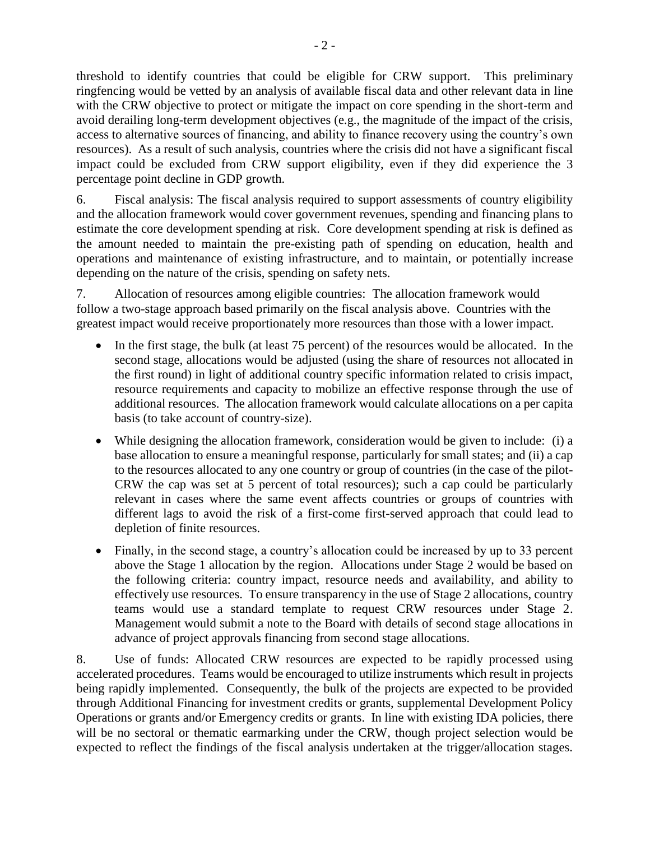threshold to identify countries that could be eligible for CRW support. This preliminary ringfencing would be vetted by an analysis of available fiscal data and other relevant data in line with the CRW objective to protect or mitigate the impact on core spending in the short-term and avoid derailing long-term development objectives (e.g., the magnitude of the impact of the crisis, access to alternative sources of financing, and ability to finance recovery using the country's own resources). As a result of such analysis, countries where the crisis did not have a significant fiscal impact could be excluded from CRW support eligibility, even if they did experience the 3 percentage point decline in GDP growth.

6. Fiscal analysis: The fiscal analysis required to support assessments of country eligibility and the allocation framework would cover government revenues, spending and financing plans to estimate the core development spending at risk. Core development spending at risk is defined as the amount needed to maintain the pre-existing path of spending on education, health and operations and maintenance of existing infrastructure, and to maintain, or potentially increase depending on the nature of the crisis, spending on safety nets.

7. Allocation of resources among eligible countries: The allocation framework would follow a two-stage approach based primarily on the fiscal analysis above. Countries with the greatest impact would receive proportionately more resources than those with a lower impact.

- In the first stage, the bulk (at least 75 percent) of the resources would be allocated. In the second stage, allocations would be adjusted (using the share of resources not allocated in the first round) in light of additional country specific information related to crisis impact, resource requirements and capacity to mobilize an effective response through the use of additional resources. The allocation framework would calculate allocations on a per capita basis (to take account of country-size).
- While designing the allocation framework, consideration would be given to include: (i) a base allocation to ensure a meaningful response, particularly for small states; and (ii) a cap to the resources allocated to any one country or group of countries (in the case of the pilot-CRW the cap was set at 5 percent of total resources); such a cap could be particularly relevant in cases where the same event affects countries or groups of countries with different lags to avoid the risk of a first-come first-served approach that could lead to depletion of finite resources.
- Finally, in the second stage, a country's allocation could be increased by up to 33 percent above the Stage 1 allocation by the region. Allocations under Stage 2 would be based on the following criteria: country impact, resource needs and availability, and ability to effectively use resources. To ensure transparency in the use of Stage 2 allocations, country teams would use a standard template to request CRW resources under Stage 2. Management would submit a note to the Board with details of second stage allocations in advance of project approvals financing from second stage allocations.

8. Use of funds: Allocated CRW resources are expected to be rapidly processed using accelerated procedures. Teams would be encouraged to utilize instruments which result in projects being rapidly implemented. Consequently, the bulk of the projects are expected to be provided through Additional Financing for investment credits or grants, supplemental Development Policy Operations or grants and/or Emergency credits or grants. In line with existing IDA policies, there will be no sectoral or thematic earmarking under the CRW, though project selection would be expected to reflect the findings of the fiscal analysis undertaken at the trigger/allocation stages.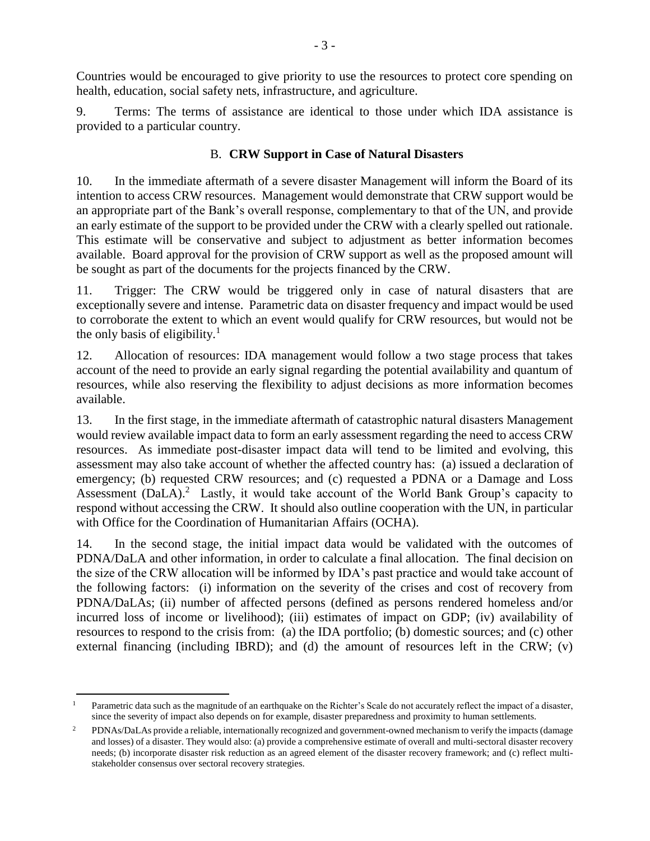Countries would be encouraged to give priority to use the resources to protect core spending on health, education, social safety nets, infrastructure, and agriculture.

9. Terms: The terms of assistance are identical to those under which IDA assistance is provided to a particular country.

## B. **CRW Support in Case of Natural Disasters**

10. In the immediate aftermath of a severe disaster Management will inform the Board of its intention to access CRW resources. Management would demonstrate that CRW support would be an appropriate part of the Bank's overall response, complementary to that of the UN, and provide an early estimate of the support to be provided under the CRW with a clearly spelled out rationale. This estimate will be conservative and subject to adjustment as better information becomes available. Board approval for the provision of CRW support as well as the proposed amount will be sought as part of the documents for the projects financed by the CRW.

11. Trigger: The CRW would be triggered only in case of natural disasters that are exceptionally severe and intense. Parametric data on disaster frequency and impact would be used to corroborate the extent to which an event would qualify for CRW resources, but would not be the only basis of eligibility.<sup>1</sup>

12. Allocation of resources: IDA management would follow a two stage process that takes account of the need to provide an early signal regarding the potential availability and quantum of resources, while also reserving the flexibility to adjust decisions as more information becomes available.

13. In the first stage, in the immediate aftermath of catastrophic natural disasters Management would review available impact data to form an early assessment regarding the need to access CRW resources. As immediate post-disaster impact data will tend to be limited and evolving, this assessment may also take account of whether the affected country has: (a) issued a declaration of emergency; (b) requested CRW resources; and (c) requested a PDNA or a Damage and Loss Assessment (DaLA).<sup>2</sup> Lastly, it would take account of the World Bank Group's capacity to respond without accessing the CRW. It should also outline cooperation with the UN, in particular with Office for the Coordination of Humanitarian Affairs (OCHA).

14. In the second stage, the initial impact data would be validated with the outcomes of PDNA/DaLA and other information, in order to calculate a final allocation. The final decision on the size of the CRW allocation will be informed by IDA's past practice and would take account of the following factors: (i) information on the severity of the crises and cost of recovery from PDNA/DaLAs; (ii) number of affected persons (defined as persons rendered homeless and/or incurred loss of income or livelihood); (iii) estimates of impact on GDP; (iv) availability of resources to respond to the crisis from: (a) the IDA portfolio; (b) domestic sources; and (c) other external financing (including IBRD); and (d) the amount of resources left in the CRW; (v)

 $\overline{a}$ Parametric data such as the magnitude of an earthquake on the Richter's Scale do not accurately reflect the impact of a disaster, since the severity of impact also depends on for example, disaster preparedness and proximity to human settlements.

<sup>&</sup>lt;sup>2</sup> PDNAs/DaLAs provide a reliable, internationally recognized and government-owned mechanism to verify the impacts (damage and losses) of a disaster. They would also: (a) provide a comprehensive estimate of overall and multi-sectoral disaster recovery needs; (b) incorporate disaster risk reduction as an agreed element of the disaster recovery framework; and (c) reflect multistakeholder consensus over sectoral recovery strategies.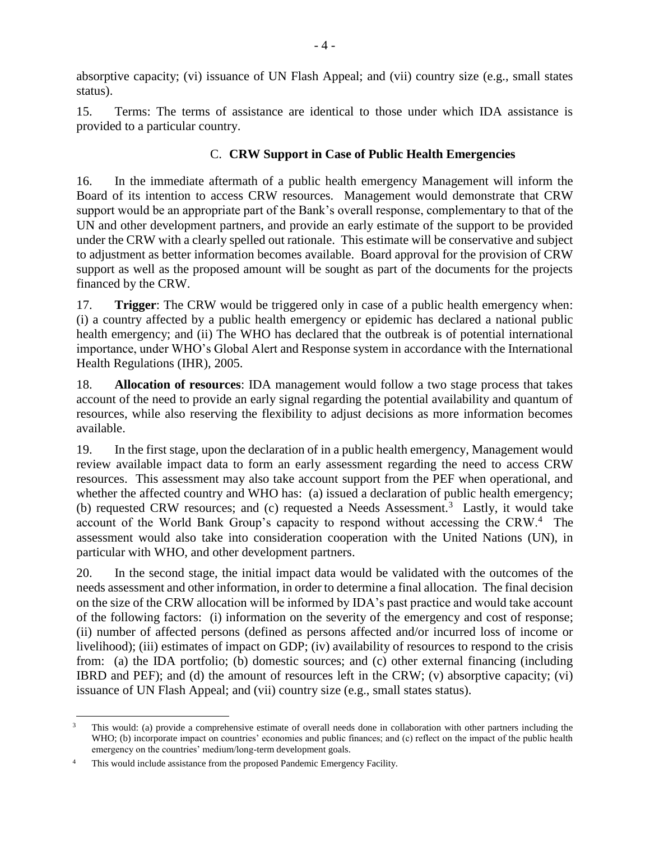absorptive capacity; (vi) issuance of UN Flash Appeal; and (vii) country size (e.g., small states status).

15. Terms: The terms of assistance are identical to those under which IDA assistance is provided to a particular country.

## C. **CRW Support in Case of Public Health Emergencies**

16. In the immediate aftermath of a public health emergency Management will inform the Board of its intention to access CRW resources. Management would demonstrate that CRW support would be an appropriate part of the Bank's overall response, complementary to that of the UN and other development partners, and provide an early estimate of the support to be provided under the CRW with a clearly spelled out rationale. This estimate will be conservative and subject to adjustment as better information becomes available. Board approval for the provision of CRW support as well as the proposed amount will be sought as part of the documents for the projects financed by the CRW.

17. **Trigger**: The CRW would be triggered only in case of a public health emergency when: (i) a country affected by a public health emergency or epidemic has declared a national public health emergency; and (ii) The WHO has declared that the outbreak is of potential international importance, under WHO's Global Alert and Response system in accordance with the International Health Regulations (IHR), 2005.

18. **Allocation of resources**: IDA management would follow a two stage process that takes account of the need to provide an early signal regarding the potential availability and quantum of resources, while also reserving the flexibility to adjust decisions as more information becomes available.

19. In the first stage, upon the declaration of in a public health emergency, Management would review available impact data to form an early assessment regarding the need to access CRW resources. This assessment may also take account support from the PEF when operational, and whether the affected country and WHO has: (a) issued a declaration of public health emergency; (b) requested CRW resources; and (c) requested a Needs Assessment.<sup>3</sup> Lastly, it would take account of the World Bank Group's capacity to respond without accessing the CRW.<sup>4</sup> The assessment would also take into consideration cooperation with the United Nations (UN), in particular with WHO, and other development partners.

20. In the second stage, the initial impact data would be validated with the outcomes of the needs assessment and other information, in order to determine a final allocation. The final decision on the size of the CRW allocation will be informed by IDA's past practice and would take account of the following factors: (i) information on the severity of the emergency and cost of response; (ii) number of affected persons (defined as persons affected and/or incurred loss of income or livelihood); (iii) estimates of impact on GDP; (iv) availability of resources to respond to the crisis from: (a) the IDA portfolio; (b) domestic sources; and (c) other external financing (including IBRD and PEF); and (d) the amount of resources left in the CRW; (v) absorptive capacity; (vi) issuance of UN Flash Appeal; and (vii) country size (e.g., small states status).

 $\overline{a}$ <sup>3</sup> This would: (a) provide a comprehensive estimate of overall needs done in collaboration with other partners including the WHO; (b) incorporate impact on countries' economies and public finances; and (c) reflect on the impact of the public health emergency on the countries' medium/long-term development goals.

<sup>&</sup>lt;sup>4</sup> This would include assistance from the proposed Pandemic Emergency Facility.